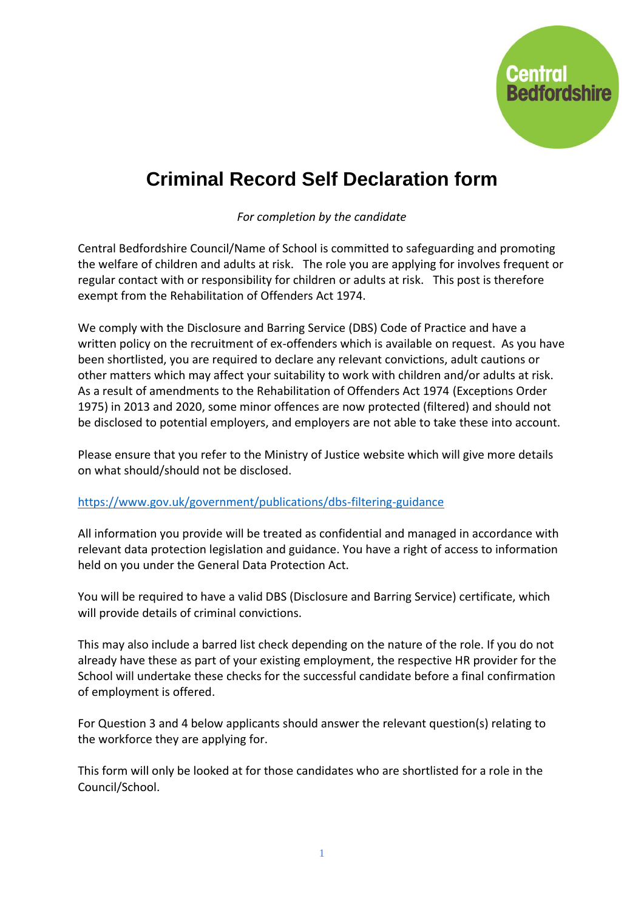

## **Criminal Record Self Declaration form**

*For completion by the candidate*

Central Bedfordshire Council/Name of School is committed to safeguarding and promoting the welfare of children and adults at risk. The role you are applying for involves frequent or regular contact with or responsibility for children or adults at risk. This post is therefore exempt from the Rehabilitation of Offenders Act 1974.

We comply with the Disclosure and Barring Service (DBS) Code of Practice and have a written policy on the recruitment of ex-offenders which is available on request. As you have been shortlisted, you are required to declare any relevant convictions, adult cautions or other matters which may affect your suitability to work with children and/or adults at risk. As a result of amendments to the Rehabilitation of Offenders Act 1974 (Exceptions Order 1975) in 2013 and 2020, some minor offences are now protected (filtered) and should not be disclosed to potential employers, and employers are not able to take these into account.

Please ensure that you refer to the Ministry of Justice website which will give more details on what should/should not be disclosed.

## <https://www.gov.uk/government/publications/dbs-filtering-guidance>

All information you provide will be treated as confidential and managed in accordance with relevant data protection legislation and guidance. You have a right of access to information held on you under the General Data Protection Act.

You will be required to have a valid DBS (Disclosure and Barring Service) certificate, which will provide details of criminal convictions.

This may also include a barred list check depending on the nature of the role. If you do not already have these as part of your existing employment, the respective HR provider for the School will undertake these checks for the successful candidate before a final confirmation of employment is offered.

For Question 3 and 4 below applicants should answer the relevant question(s) relating to the workforce they are applying for.

This form will only be looked at for those candidates who are shortlisted for a role in the Council/School.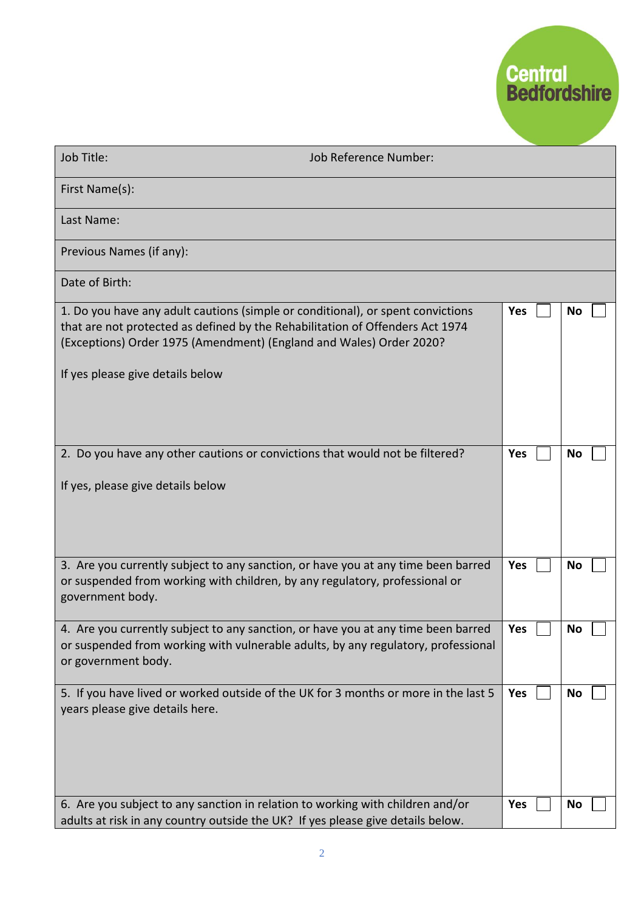

| Job Title:                                                                                                                                                                                                                                                                  | <b>Job Reference Number:</b> |                   |           |
|-----------------------------------------------------------------------------------------------------------------------------------------------------------------------------------------------------------------------------------------------------------------------------|------------------------------|-------------------|-----------|
| First Name(s):                                                                                                                                                                                                                                                              |                              |                   |           |
| Last Name:                                                                                                                                                                                                                                                                  |                              |                   |           |
| Previous Names (if any):                                                                                                                                                                                                                                                    |                              |                   |           |
| Date of Birth:                                                                                                                                                                                                                                                              |                              |                   |           |
| 1. Do you have any adult cautions (simple or conditional), or spent convictions<br>that are not protected as defined by the Rehabilitation of Offenders Act 1974<br>(Exceptions) Order 1975 (Amendment) (England and Wales) Order 2020?<br>If yes please give details below |                              | <b>Yes</b>        | <b>No</b> |
| 2. Do you have any other cautions or convictions that would not be filtered?<br>If yes, please give details below                                                                                                                                                           |                              | <b>Yes</b>        | No        |
| 3. Are you currently subject to any sanction, or have you at any time been barred<br>or suspended from working with children, by any regulatory, professional or<br>government body.                                                                                        |                              | <b>Yes</b>        | No        |
| 4. Are you currently subject to any sanction, or have you at any time been barred<br>or suspended from working with vulnerable adults, by any regulatory, professional<br>or government body.                                                                               |                              | Yes               | No        |
| 5. If you have lived or worked outside of the UK for 3 months or more in the last 5<br>years please give details here.                                                                                                                                                      |                              | <b>Yes</b><br>Yes | No        |
| 6. Are you subject to any sanction in relation to working with children and/or<br>adults at risk in any country outside the UK? If yes please give details below.                                                                                                           |                              |                   | <b>No</b> |